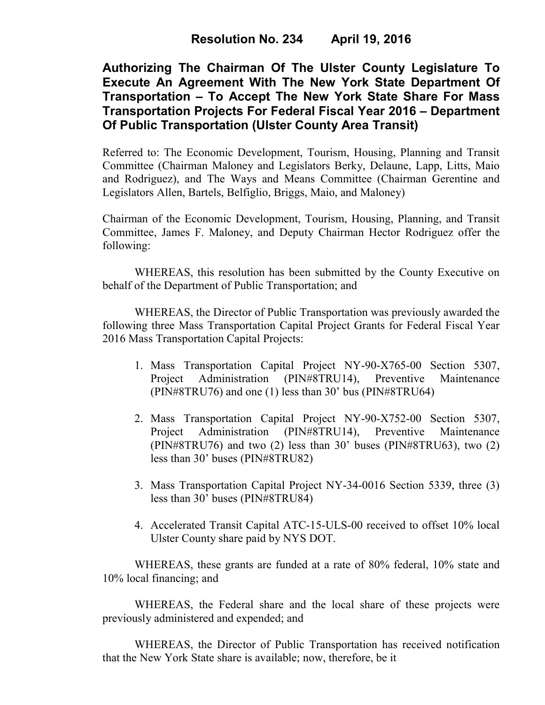**Authorizing The Chairman Of The Ulster County Legislature To Execute An Agreement With The New York State Department Of Transportation – To Accept The New York State Share For Mass Transportation Projects For Federal Fiscal Year 2016 – Department Of Public Transportation (Ulster County Area Transit)**

Referred to: The Economic Development, Tourism, Housing, Planning and Transit Committee (Chairman Maloney and Legislators Berky, Delaune, Lapp, Litts, Maio and Rodriguez), and The Ways and Means Committee (Chairman Gerentine and Legislators Allen, Bartels, Belfiglio, Briggs, Maio, and Maloney)

Chairman of the Economic Development, Tourism, Housing, Planning, and Transit Committee, James F. Maloney, and Deputy Chairman Hector Rodriguez offer the following:

WHEREAS, this resolution has been submitted by the County Executive on behalf of the Department of Public Transportation; and

WHEREAS, the Director of Public Transportation was previously awarded the following three Mass Transportation Capital Project Grants for Federal Fiscal Year 2016 Mass Transportation Capital Projects:

- 1. Mass Transportation Capital Project NY-90-X765-00 Section 5307, Project Administration (PIN#8TRU14), Preventive Maintenance (PIN#8TRU76) and one (1) less than 30' bus (PIN#8TRU64)
- 2. Mass Transportation Capital Project NY-90-X752-00 Section 5307, Project Administration (PIN#8TRU14), Preventive Maintenance (PIN#8TRU76) and two (2) less than 30' buses (PIN#8TRU63), two (2) less than 30' buses (PIN#8TRU82)
- 3. Mass Transportation Capital Project NY-34-0016 Section 5339, three (3) less than 30' buses (PIN#8TRU84)
- 4. Accelerated Transit Capital ATC-15-ULS-00 received to offset 10% local Ulster County share paid by NYS DOT.

WHEREAS, these grants are funded at a rate of 80% federal, 10% state and 10% local financing; and

WHEREAS, the Federal share and the local share of these projects were previously administered and expended; and

WHEREAS, the Director of Public Transportation has received notification that the New York State share is available; now, therefore, be it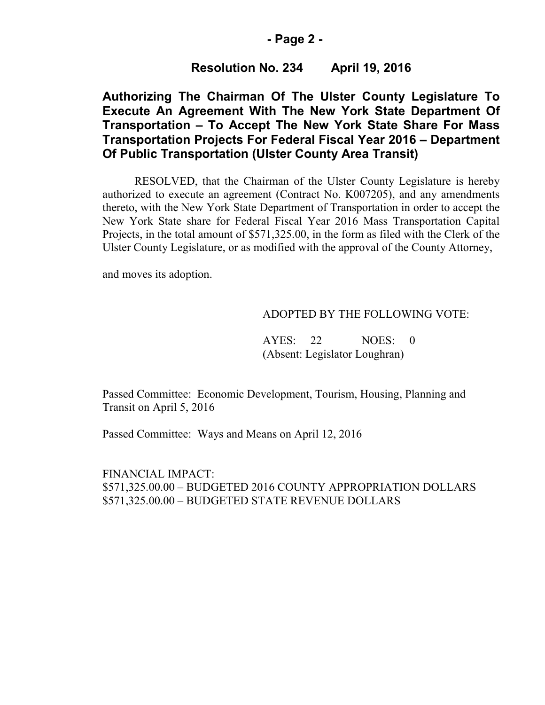### **- Page 2 -**

## **Resolution No. 234 April 19, 2016**

# **Authorizing The Chairman Of The Ulster County Legislature To Execute An Agreement With The New York State Department Of Transportation – To Accept The New York State Share For Mass Transportation Projects For Federal Fiscal Year 2016 – Department Of Public Transportation (Ulster County Area Transit)**

RESOLVED, that the Chairman of the Ulster County Legislature is hereby authorized to execute an agreement (Contract No. K007205), and any amendments thereto, with the New York State Department of Transportation in order to accept the New York State share for Federal Fiscal Year 2016 Mass Transportation Capital Projects, in the total amount of \$571,325.00, in the form as filed with the Clerk of the Ulster County Legislature, or as modified with the approval of the County Attorney,

and moves its adoption.

### ADOPTED BY THE FOLLOWING VOTE:

AYES: 22 NOES: 0 (Absent: Legislator Loughran)

Passed Committee: Economic Development, Tourism, Housing, Planning and Transit on April 5, 2016

Passed Committee: Ways and Means on April 12, 2016

FINANCIAL IMPACT: \$571,325.00.00 – BUDGETED 2016 COUNTY APPROPRIATION DOLLARS \$571,325.00.00 – BUDGETED STATE REVENUE DOLLARS